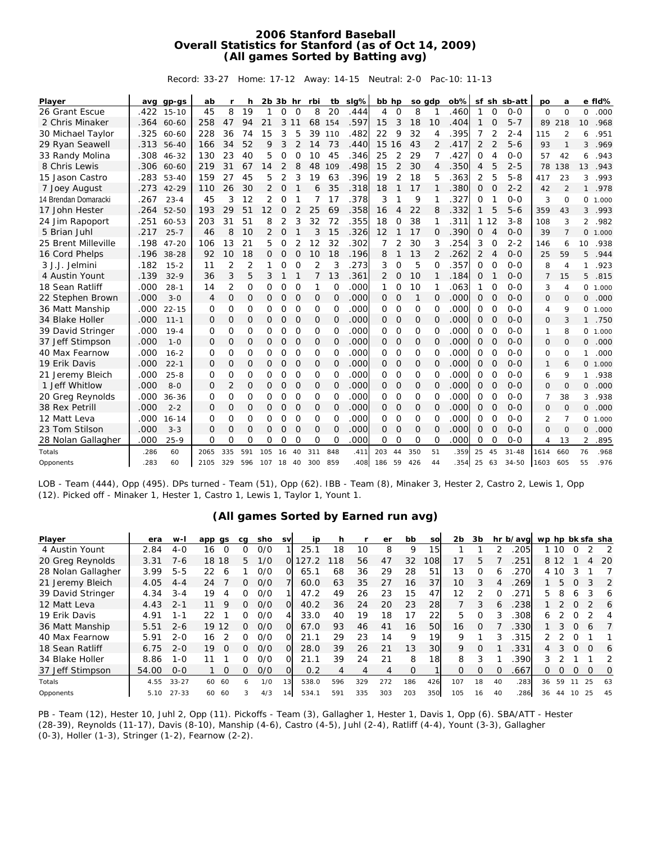## **2006 Stanford Baseball Overall Statistics for Stanford (as of Oct 14, 2009) (All games Sorted by Batting avg)**

Record: 33-27 Home: 17-12 Away: 14-15 Neutral: 2-0 Pac-10: 11-13

| Player               |      | avg gp-gs | ab             | r              | h           | $2b$ $3b$ hr   |              |              | rbi            | tb           | slg% | bb hp    |                |          | so gdp         | ob%  |              |                | sf sh sb-att | po             | a              |                | e fid% |
|----------------------|------|-----------|----------------|----------------|-------------|----------------|--------------|--------------|----------------|--------------|------|----------|----------------|----------|----------------|------|--------------|----------------|--------------|----------------|----------------|----------------|--------|
| 26 Grant Escue       | .422 | $15 - 10$ | 45             | 8              | 19          | 1              | $\Omega$     | $\Omega$     | 8              | 20           | .444 | 4        | $\Omega$       | 8        | $\mathbf 1$    | 460  | 1            | $\Omega$       | $0 - 0$      | $\Omega$       | $\Omega$       | $\Omega$       | .000   |
| 2 Chris Minaker      | .364 | 60-60     | 258            | 47             | 94          | 21             | 3            | 11           | 68             | 154          | .597 | 15       | 3              | 18       | 10             | .404 | $\mathbf{1}$ | $\Omega$       | $5 - 7$      | 89             | 218            | 10             | .968   |
| 30 Michael Taylor    | .325 | 60-60     | 228            | 36             | 74          | 15             | 3            | 5            | 39             | 110          | .482 | 22       | 9              | 32       | $\overline{4}$ | .395 | 7            | 2              | $2 - 4$      | 115            | 2              | 6              | .951   |
| 29 Ryan Seawell      | .313 | $56 - 40$ | 166            | 34             | 52          | 9              | 3            | 2            | 14             | 73           | .440 | 15       | 16             | 43       | 2              | 417  | 2            | $\overline{2}$ | $5 - 6$      | 93             | 1              | 3              | .969   |
| 33 Randy Molina      | .308 | $46 - 32$ | 130            | 23             | 40          | 5              | 0            | $\mathbf 0$  | 10             | 45           | .346 | 25       | 2              | 29       | 7              | 427  | O            | 4              | $O-O$        | 57             | 42             | 6              | .943   |
| 8 Chris Lewis        | .306 | 60-60     | 219            | 31             | 67          | 14             | 2            | 8            | 48             | 109          | .498 | 15       | 2              | 30       | 4              | .350 | 4            | 5              | $2 - 5$      | 78             | 138            | 13             | .943   |
| 15 Jason Castro      | .283 | $53 - 40$ | 159            | 27             | 45          | 5              | 2            | 3            | 19             | 63           | .396 | 19       | $\overline{2}$ | 18       | 5              | 363  | 2            | 5              | $5 - 8$      | 417            | 23             | 3              | .993   |
| 7 Joey August        | .273 | $42 - 29$ | 110            | 26             | 30          | 2              | $\mathbf{O}$ | $\mathbf{1}$ | 6              | 35           | .318 | 18       |                | 17       |                | .380 | $\Omega$     | $\Omega$       | $2 - 2$      | 42             | $\overline{2}$ | $\mathbf{1}$   | .978   |
| 14 Brendan Domaracki | .267 | $23 - 4$  | 45             | 3              | 12          | 2              | 0            |              |                | 17           | .378 | 3        |                | 9        |                | 327  | 0            | 1              | $O-O$        | 3              | $\overline{0}$ | 0              | 1.000  |
| 17 John Hester       | .264 | $52 - 50$ | 193            | 29             | 51          | 12             | 0            | 2            | 25             | 69           | .358 | 16       | 4              | 22       | 8              | 332  | 1            | 5              | $5 - 6$      | 359            | 43             | 3              | .993   |
| 24 Jim Rapoport      | .251 | 60-53     | 203            | 31             | 51          | 8              | 2            | 3            | 32             | 72           | .355 | 18       | O              | 38       | 1              | 311  | 1            | 12             | $3 - 8$      | 108            | 3              | $\overline{2}$ | .982   |
| 5 Brian Juhl         | .217 | $25 - 7$  | 46             | 8              | 10          | $\overline{2}$ | $\mathbf{O}$ | $\mathbf{1}$ | 3              | 15           | .326 | 12       | 1              | 17       | 0              | 390  | O            | $\overline{4}$ | $O-O$        | 39             | 7              | 0              | 1.000  |
| 25 Brent Milleville  | .198 | $47 - 20$ | 106            | 13             | 21          | 5              | 0            | 2            | 12             | 32           | .302 | 7        |                | 30       | 3              | .254 | 3            | O              | $2 - 2$      | 146            | 6              | 10             | .938   |
| 16 Cord Phelps       | .196 | 38-28     | 92             | 10             | 18          | 0              | O            | $\Omega$     | 10             | 18           | .196 | 8        | 1              | 13       | 2              | 262  | 2            | 4              | $0 - 0$      | 25             | 59             | 5              | .944   |
| 3 J.J. Jelmini       | .182 | $15 - 2$  | 11             | $\overline{2}$ | 2           | 1              | 0            | $\mathbf 0$  | $\overline{2}$ | 3            | .273 | 3        | $\mathbf 0$    | 5        | O              | 357  | O            | $\mathbf 0$    | $O-O$        | 8              | $\overline{4}$ | 1              | .923   |
| 4 Austin Yount       | .139 | $32 - 9$  | 36             | 3              | 5           | 3              |              | $\mathbf{1}$ | $\overline{7}$ | 13           | .361 | 2        | $\mathbf{O}$   | 10       | 1              | .184 | $\Omega$     | 1              | $O - O$      | $\overline{7}$ | 15             | 5              | .815   |
| 18 Sean Ratliff      | .000 | $28 - 1$  | 14             | $\overline{2}$ | $\Omega$    | O              | 0            | $\Omega$     | 1              | $\Omega$     | .000 | 1        | $\Omega$       | 10       | 1              | 063  | 1            | O              | $O-O$        | 3              | $\overline{4}$ | 0              | 1.000  |
| 22 Stephen Brown     | .000 | $3 - 0$   | $\overline{4}$ | 0              | $\mathbf 0$ | 0              | $\mathbf{O}$ | $\circ$      | 0              | 0            | .000 | 0        | $\circ$        | 1        | 0              | .000 | O            | $\overline{O}$ | $O - O$      | $\Omega$       | $\Omega$       | 0              | .000   |
| 36 Matt Manship      | .000 | $22 - 15$ | $\Omega$       | 0              | O           | O              | O            | $\Omega$     | O              | O            | .000 | 0        | $\Omega$       | $\Omega$ | $\Omega$       | .000 | O            | $\Omega$       | $O - O$      | 4              | 9              | 0              | 1.000  |
| 34 Blake Holler      | .000 | $11 - 1$  | $\Omega$       | O              | O           | 0              | $\Omega$     | 0            | 0              | 0            | .000 | 0        | $\Omega$       | O        | O              | .000 | 0            | $\overline{O}$ | $O-O$        | $\Omega$       | 3              | $\mathbf{1}$   | .750   |
| 39 David Stringer    | .000 | $19 - 4$  | $\Omega$       | 0              | O           | 0              | 0            | O            | O              | 0            | .000 | 0        | O              | $\Omega$ | O              | .000 | O            | $\Omega$       | $O - O$      | 1              | 8              | 0              | 1.000  |
| 37 Jeff Stimpson     | .000 | $1 - 0$   | 0              | 0              | $\mathbf 0$ | 0              | $\mathbf{O}$ | $\circ$      | 0              | 0            | .000 | 0        | $\circ$        | $\Omega$ | $\mathbf{O}$   | .000 | 0            | $\Omega$       | $O-O$        | $\Omega$       | $\Omega$       | 0              | .000   |
| 40 Max Fearnow       | .000 | $16 - 2$  | $\Omega$       | $\Omega$       | $\Omega$    | 0              | 0            | $\circ$      | O              | $\circ$      | .000 | 0        | $\circ$        | $\circ$  | $\Omega$       | .000 | 0            | $\mathbf 0$    | $0 - 0$      | $\Omega$       | $\mathbf 0$    | 1              | .000   |
| 19 Erik Davis        | .000 | $22 - 1$  | $\Omega$       | 0              | O           | 0              | $\mathbf{O}$ | 0            | 0              | O            | .000 | 0        | $\Omega$       | O        | O              | .000 | 0            | $\Omega$       | $O - O$      | $\mathbf{1}$   | 6              | 0              | 1.000  |
| 21 Jeremy Bleich     | .000 | $25 - 8$  | O              | 0              | $\Omega$    | 0              | 0            | $\mathbf 0$  | O              | 0            | .000 | 0        | $\circ$        | 0        | 0              | 000  | 0            | $\mathbf 0$    | $O-O$        | 6              | 9              | 1              | .938   |
| 1 Jeff Whitlow       | .000 | $8 - 0$   | 0              | 2              | $\mathbf 0$ | 0              | 0            | O            | 0              | $\mathbf{O}$ | .000 | 0        | $\circ$        | 0        | 0              | .000 | 0            | $\overline{O}$ | $O-O$        | 0              | 0              | 0              | .000   |
| 20 Greg Reynolds     | .000 | $36 - 36$ | $\Omega$       | $\Omega$       | $\Omega$    | O              | 0            | $\Omega$     | $\Omega$       | $\Omega$     | .000 | 0        | $\Omega$       | $\Omega$ | $\Omega$       | .000 | O            | $\Omega$       | $O - O$      | $\overline{7}$ | 38             | 3              | .938   |
| 38 Rex Petrill       | .000 | $2 - 2$   | $\Omega$       | 0              | O           | 0              | 0            | 0            | 0              | $\Omega$     | .000 | 0        | $\Omega$       | O        | $\Omega$       | .000 | 0            | $\Omega$       | $O - O$      | $\Omega$       | $\Omega$       | $\mathsf{O}$   | .000   |
| 12 Matt Leva         | .000 | $16 - 14$ | O              | 0              | O           | 0              | 0            | $\Omega$     | O              | O            | .000 | 0        | $\Omega$       | $\Omega$ | O              | .000 | O            | $\Omega$       | $O - O$      | $\overline{2}$ | 7              | 0              | 1.000  |
| 23 Tom Stilson       | .000 | $3 - 3$   | $\Omega$       | 0              | $\Omega$    | 0              | $\Omega$     | $\circ$      | $\mathbf{O}$   | $\Omega$     | .000 | $\Omega$ | $\Omega$       | $\Omega$ | $\Omega$       | .000 | $\Omega$     | $\overline{O}$ | $O-O$        | $\Omega$       | $\Omega$       | 0              | .000   |
| 28 Nolan Gallagher   | .000 | $25-9$    | $\Omega$       | 0              | O           | 0              | 0            | O            | O              | O            | .000 | $\Omega$ | $\Omega$       | $\Omega$ | $\Omega$       | 000  | 0            | $\circ$        | $0 - 0$      | 4              | 13             | 2              | .895   |
| Totals               | .286 | 60        | 2065           | 335            | 591         | 105            | 16           | 40           | 311            | 848          | .411 | 203      | 44             | 350      | 51             | 359  | 25           | 45             | $31 - 48$    | 1614           | 660            | 76             | .968   |
| Opponents            | .283 | 60        | 2105           | 329            | 596         | 107            | 18           | 40           | 300            | 859          | 408  | 186      | 59             | 426      | 44             | 354  | 25           | 63             | $34 - 50$    | 1603           | 605            | 55             | .976   |

LOB - Team (444), Opp (495). DPs turned - Team (51), Opp (62). IBB - Team (8), Minaker 3, Hester 2, Castro 2, Lewis 1, Opp (12). Picked off - Minaker 1, Hester 1, Castro 1, Lewis 1, Taylor 1, Yount 1.

|  |  | (All games Sorted by Earned run avg) |  |  |
|--|--|--------------------------------------|--|--|
|  |  |                                      |  |  |

| Player             | era   | w-I       | app gs         | ca | sho | <b>SV</b> | ID    | h   |     | er  | bb       | sol             | 2b       | 3b       |          | hr b/avg wp hp bk sfa sha |    |       |          |          |         |
|--------------------|-------|-----------|----------------|----|-----|-----------|-------|-----|-----|-----|----------|-----------------|----------|----------|----------|---------------------------|----|-------|----------|----------|---------|
| 4 Austin Yount     | 2.84  | $4-0$     | $\Omega$<br>16 | ∩  | O/O |           | 25.1  | 18  | 10  | 8   | 9        | 15              |          |          |          | 205                       |    | 1 10  | $\Omega$ |          |         |
| 20 Greg Reynolds   | 3.31  | 7-6       | 18<br>18       | 5. | 1/0 | ΟI        | 127.2 | 18  | 56  | 47  | 32       | 108             | 17       | 5.       |          | 251                       |    | 8 1 2 |          | 4        | -20     |
| 28 Nolan Gallagher | 3.99  | $5 - 5$   | 22<br>6        |    | 0/0 | ΩI        | 65.1  | 68  | 36  | 29  | 28       | 51              | 13       | $\Omega$ | h        | 270                       |    | 4 10  | 3        |          |         |
| 21 Jeremy Bleich   | 4.05  | $4 - 4$   | 24             | O. | O/O |           | 60.0  | 63  | 35  | 27  | 16       | 37              | 10       | 3        |          | 269                       |    | 5.    | O        | 3        | 2       |
| 39 David Stringer  | 4.34  | $3 - 4$   | 19             | O. | 0/0 |           | 47.2  | 49  | 26  | 23  | 15       | 47              | 12       |          |          | 271                       | 5. | 8     | 6        |          | 6       |
| 12 Matt Leva       | 4.43  | $2 - 1$   | 11<br>Q        | ∩  | 0/0 | ΩL        | 40.2  | 36  | 24  | 20  | 23       | 28              |          | 3        | 6        | .238                      |    |       | O        |          | 6       |
| 19 Erik Davis      | 4.91  | 1 - 1     | 22             | O. | 0/0 | 4         | 33.0  | 40  | 19  | 18  | 17       | 22              | 5        | O        |          | 308                       | 6  |       | ∩        |          | 4       |
| 36 Matt Manship    | 5.51  | $2 - 6$   | 19<br>12       | O. | O/O | ΩL        | 67.0  | 93  | 46  | 41  | 16       | 50              | 16       | $\Omega$ |          | .330                      |    | 3.    | O        | 6        |         |
| 40 Max Fearnow     | 5.91  | $2 - 0$   | 16             | O  | 0/0 | ΩI        | 21.1  | 29  | 23  | 14  | 9        | 19              | 9        |          | 3        | 315                       | 2. |       | ∩        |          |         |
| 18 Sean Ratliff    | 6.75  | $2 - 0$   | 19<br>$\Omega$ | ∩  | O/O | $\Omega$  | 28.0  | 39  | 26  | 21  | 13       | 30              | 9        | $\Omega$ |          | 331                       | 4  |       | $\Omega$ | $\Omega$ | 6       |
| 34 Blake Holler    | 8.86  | 1-0       |                | O. | 0/0 | ΩL        | 21.1  | 39  | 24  | 21  | 8        | 18 <sup>l</sup> | 8        |          |          | 390                       | 3  |       |          |          |         |
| 37 Jeff Stimpson   | 54.00 | $0 - 0$   | $\Omega$       | 0  | 0/0 | O.        | 0.2   | 4   | 4   | 4   | $\Omega$ |                 | $\Omega$ | $\Omega$ | $\Omega$ | .667                      | 0  | O     | 0        | $\Omega$ | $\circ$ |
| Totals             | 4.55  | $33 - 27$ | 60<br>60       | 6. | 1/0 | 13        | 538.0 | 596 | 329 | 272 | 186      | 426             | 107      | 18       | 40       | 283                       | 36 | 59    | 11       | 25       | 63      |
| Opponents          | 5.10  | $27 - 33$ | 60<br>60       |    | 4/3 | 14        | 534.1 | 591 | 335 | 303 | 203      | 350             | 105      | 16       | 40       | 286                       | 36 | 44    | 10       | 25       | 45      |

PB - Team (12), Hester 10, Juhl 2, Opp (11). Pickoffs - Team (3), Gallagher 1, Hester 1, Davis 1, Opp (6). SBA/ATT - Hester (28-39), Reynolds (11-17), Davis (8-10), Manship (4-6), Castro (4-5), Juhl (2-4), Ratliff (4-4), Yount (3-3), Gallagher (0-3), Holler (1-3), Stringer (1-2), Fearnow (2-2).